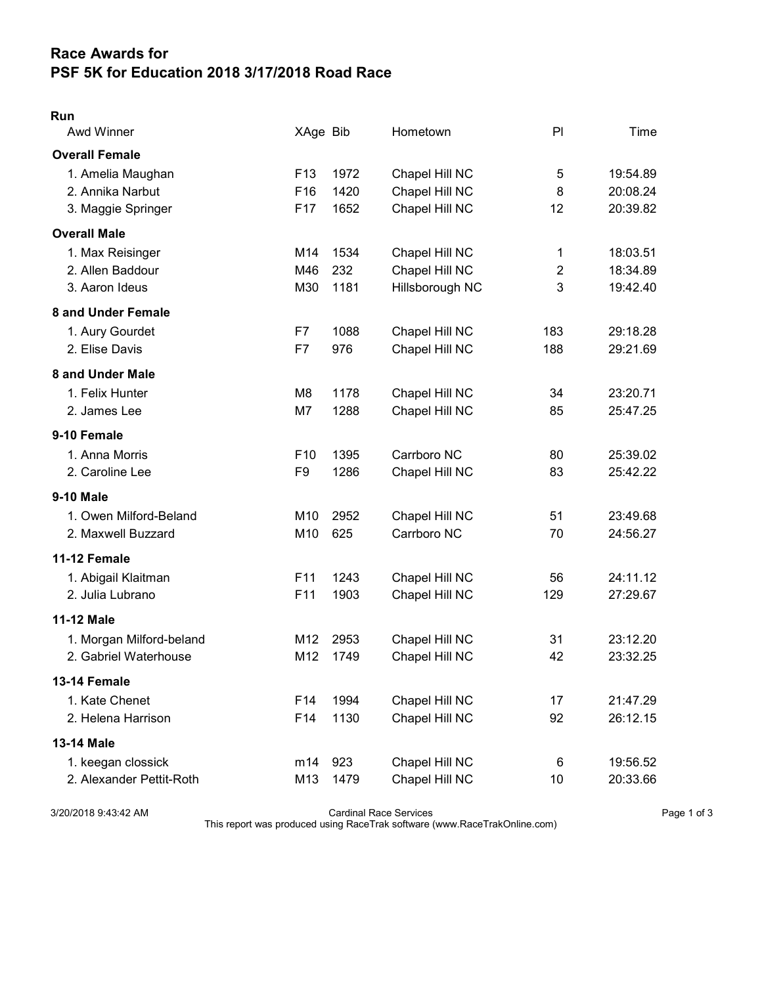## Race Awards for PSF 5K for Education 2018 3/17/2018 Road Race

## Run

| Awd Winner               | XAge Bib        |      | Hometown        | PI             | Time     |
|--------------------------|-----------------|------|-----------------|----------------|----------|
| <b>Overall Female</b>    |                 |      |                 |                |          |
| 1. Amelia Maughan        | F <sub>13</sub> | 1972 | Chapel Hill NC  | 5              | 19:54.89 |
| 2. Annika Narbut         | F <sub>16</sub> | 1420 | Chapel Hill NC  | 8              | 20:08.24 |
| 3. Maggie Springer       | F17             | 1652 | Chapel Hill NC  | 12             | 20:39.82 |
| <b>Overall Male</b>      |                 |      |                 |                |          |
| 1. Max Reisinger         | M14             | 1534 | Chapel Hill NC  | 1              | 18:03.51 |
| 2. Allen Baddour         | M46             | 232  | Chapel Hill NC  | $\overline{2}$ | 18:34.89 |
| 3. Aaron Ideus           | M30             | 1181 | Hillsborough NC | 3              | 19:42.40 |
| 8 and Under Female       |                 |      |                 |                |          |
| 1. Aury Gourdet          | F7              | 1088 | Chapel Hill NC  | 183            | 29:18.28 |
| 2. Elise Davis           | F7              | 976  | Chapel Hill NC  | 188            | 29:21.69 |
| 8 and Under Male         |                 |      |                 |                |          |
| 1. Felix Hunter          | M8              | 1178 | Chapel Hill NC  | 34             | 23:20.71 |
| 2. James Lee             | M7              | 1288 | Chapel Hill NC  | 85             | 25:47.25 |
| 9-10 Female              |                 |      |                 |                |          |
| 1. Anna Morris           | F <sub>10</sub> | 1395 | Carrboro NC     | 80             | 25:39.02 |
| 2. Caroline Lee          | F <sub>9</sub>  | 1286 | Chapel Hill NC  | 83             | 25:42.22 |
| <b>9-10 Male</b>         |                 |      |                 |                |          |
| 1. Owen Milford-Beland   | M10             | 2952 | Chapel Hill NC  | 51             | 23:49.68 |
| 2. Maxwell Buzzard       | M10             | 625  | Carrboro NC     | 70             | 24:56.27 |
| 11-12 Female             |                 |      |                 |                |          |
| 1. Abigail Klaitman      | F11             | 1243 | Chapel Hill NC  | 56             | 24:11.12 |
| 2. Julia Lubrano         | F <sub>11</sub> | 1903 | Chapel Hill NC  | 129            | 27:29.67 |
| <b>11-12 Male</b>        |                 |      |                 |                |          |
| 1. Morgan Milford-beland | M12             | 2953 | Chapel Hill NC  | 31             | 23:12.20 |
| 2. Gabriel Waterhouse    | M12             | 1749 | Chapel Hill NC  | 42             | 23:32.25 |
| 13-14 Female             |                 |      |                 |                |          |
| 1. Kate Chenet           | F14             | 1994 | Chapel Hill NC  | 17             | 21:47.29 |
| 2. Helena Harrison       | F14             | 1130 | Chapel Hill NC  | 92             | 26:12.15 |
| <b>13-14 Male</b>        |                 |      |                 |                |          |
| 1. keegan clossick       | m14             | 923  | Chapel Hill NC  | 6              | 19:56.52 |
| 2. Alexander Pettit-Roth | M13             | 1479 | Chapel Hill NC  | 10             | 20:33.66 |

3/20/2018 9:43:42 AM Cardinal Race Services Page 1 of 3

This report was produced using RaceTrak software (www.RaceTrakOnline.com)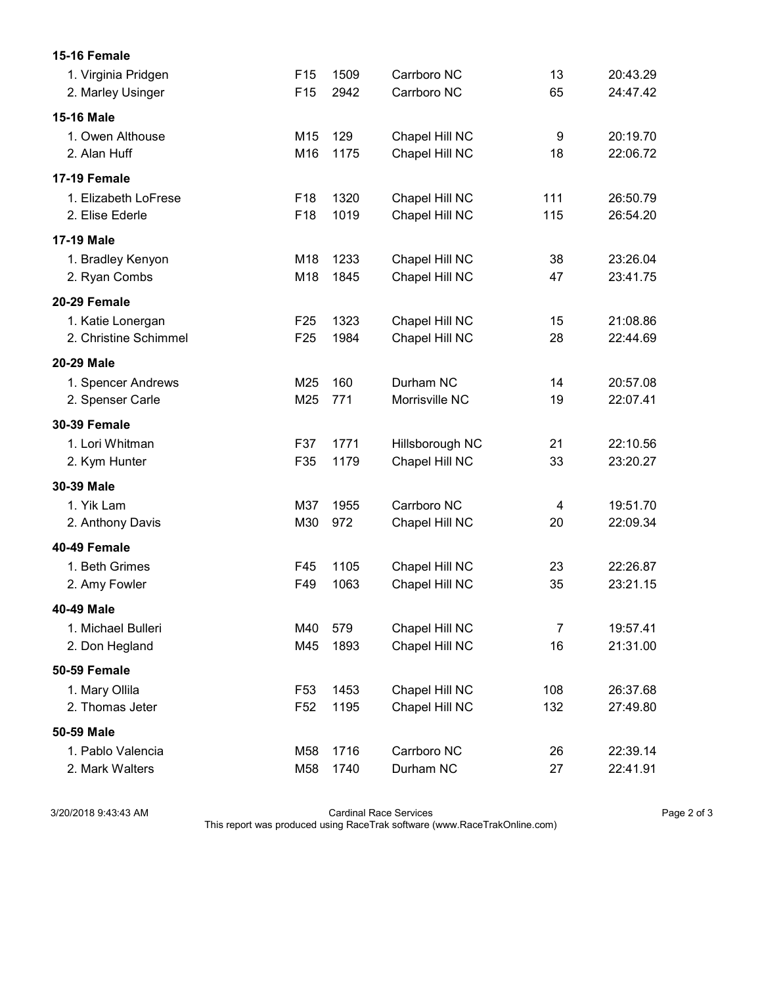| 15-16 Female          |                 |      |                 |     |          |
|-----------------------|-----------------|------|-----------------|-----|----------|
| 1. Virginia Pridgen   | F <sub>15</sub> | 1509 | Carrboro NC     | 13  | 20:43.29 |
| 2. Marley Usinger     | F <sub>15</sub> | 2942 | Carrboro NC     | 65  | 24:47.42 |
| 15-16 Male            |                 |      |                 |     |          |
| 1. Owen Althouse      | M <sub>15</sub> | 129  | Chapel Hill NC  | 9   | 20:19.70 |
| 2. Alan Huff          | M16             | 1175 | Chapel Hill NC  | 18  | 22:06.72 |
| <b>17-19 Female</b>   |                 |      |                 |     |          |
| 1. Elizabeth LoFrese  | F <sub>18</sub> | 1320 | Chapel Hill NC  | 111 | 26:50.79 |
| 2. Elise Ederle       | F18             | 1019 | Chapel Hill NC  | 115 | 26:54.20 |
| <b>17-19 Male</b>     |                 |      |                 |     |          |
| 1. Bradley Kenyon     | M18             | 1233 | Chapel Hill NC  | 38  | 23:26.04 |
| 2. Ryan Combs         | M18             | 1845 | Chapel Hill NC  | 47  | 23:41.75 |
| 20-29 Female          |                 |      |                 |     |          |
| 1. Katie Lonergan     | F <sub>25</sub> | 1323 | Chapel Hill NC  | 15  | 21:08.86 |
| 2. Christine Schimmel | F <sub>25</sub> | 1984 | Chapel Hill NC  | 28  | 22:44.69 |
| <b>20-29 Male</b>     |                 |      |                 |     |          |
| 1. Spencer Andrews    | M25             | 160  | Durham NC       | 14  | 20:57.08 |
| 2. Spenser Carle      | M25             | 771  | Morrisville NC  | 19  | 22:07.41 |
| <b>30-39 Female</b>   |                 |      |                 |     |          |
| 1. Lori Whitman       | F37             | 1771 | Hillsborough NC | 21  | 22:10.56 |
| 2. Kym Hunter         | F35             | 1179 | Chapel Hill NC  | 33  | 23:20.27 |
| 30-39 Male            |                 |      |                 |     |          |
| 1. Yik Lam            | M37             | 1955 | Carrboro NC     | 4   | 19:51.70 |
| 2. Anthony Davis      | M30             | 972  | Chapel Hill NC  | 20  | 22:09.34 |
| 40-49 Female          |                 |      |                 |     |          |
| 1. Beth Grimes        | F45             | 1105 | Chapel Hill NC  | 23  | 22:26.87 |
| 2. Amy Fowler         | F49             | 1063 | Chapel Hill NC  | 35  | 23:21.15 |
| 40-49 Male            |                 |      |                 |     |          |
| 1. Michael Bulleri    | M40             | 579  | Chapel Hill NC  | 7   | 19:57.41 |
| 2. Don Hegland        | M45             | 1893 | Chapel Hill NC  | 16  | 21:31.00 |
| 50-59 Female          |                 |      |                 |     |          |
| 1. Mary Ollila        | F <sub>53</sub> | 1453 | Chapel Hill NC  | 108 | 26:37.68 |
| 2. Thomas Jeter       | F <sub>52</sub> | 1195 | Chapel Hill NC  | 132 | 27:49.80 |
| 50-59 Male            |                 |      |                 |     |          |
| 1. Pablo Valencia     | M58             | 1716 | Carrboro NC     | 26  | 22:39.14 |
| 2. Mark Walters       | M58             | 1740 | Durham NC       | 27  | 22:41.91 |

3/20/2018 9:43:43 AM Cardinal Race Services Page 2 of 3

This report was produced using RaceTrak software (www.RaceTrakOnline.com)